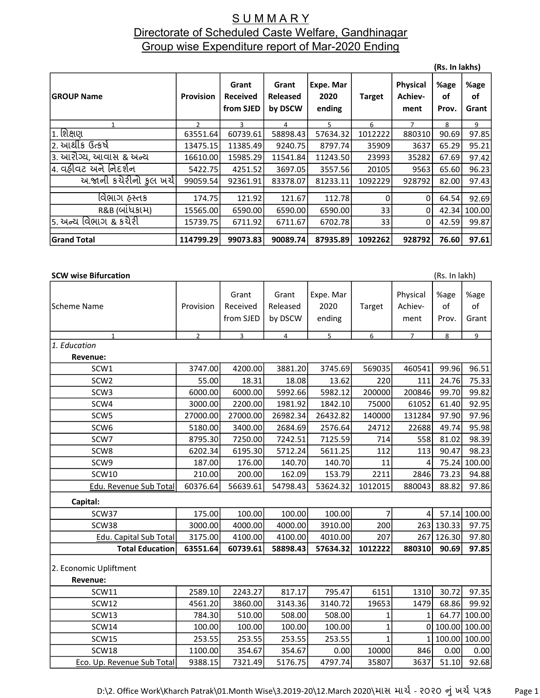### S U M M A R Y Directorate of Scheduled Caste Welfare, Gandhinagar Group wise Expenditure report of Mar-2020 Ending

|                         |                  |                                       |                                     |                             |               |                                    | (Rs. In lakhs)      |                     |
|-------------------------|------------------|---------------------------------------|-------------------------------------|-----------------------------|---------------|------------------------------------|---------------------|---------------------|
| <b>GROUP Name</b>       | <b>Provision</b> | Grant<br><b>Received</b><br>from SJED | Grant<br><b>Released</b><br>by DSCW | Expe. Mar<br>2020<br>ending | <b>Target</b> | <b>Physical</b><br>Achiev-<br>ment | %age<br>οf<br>Prov. | %age<br>οf<br>Grant |
| 1                       | $\mathcal{P}$    | 3                                     | 4                                   | 5                           | 6             | $\overline{7}$                     | 8                   | 9                   |
| $\overline{1}$ . શિક્ષણ | 63551.64         | 60739.61                              | 58898.43                            | 57634.32                    | 1012222       | 880310                             | 90.69               | 97.85               |
| 2. આર્થીક ઉત્કર્ષ       | 13475.15         | 11385.49                              | 9240.75                             | 8797.74                     | 35909         | 3637                               | 65.29               | 95.21               |
| ૩. આરોગ્ય, આવાસ & અન્ય  | 16610.00         | 15985.29                              | 11541.84                            | 11243.50                    | 23993         | 35282                              | 67.69               | 97.42               |
| 4. વઠીવટ અને નિદર્શન    | 5422.75          | 4251.52                               | 3697.05                             | 3557.56                     | 20105         | 9563                               | 65.60               | 96.23               |
| य अनी કચેરીનો ફુલ ખર્ચ  | 99059.54         | 92361.91                              | 83378.07                            | 81233.11                    | 1092229       | 928792                             | 82.00               | 97.43               |
|                         |                  |                                       |                                     |                             |               |                                    |                     |                     |
| વિભાગ હસ્તક             | 174.75           | 121.92                                | 121.67                              | 112.78                      | 0             | 0                                  | 64.54               | 92.69               |
| R&B (બાંધકામ)           | 15565.00         | 6590.00                               | 6590.00                             | 6590.00                     | 33            | 0                                  | 42.34               | 100.00              |
| 5. અન્ય વિભાગ & કચેરી   | 15739.75         | 6711.92                               | 6711.67                             | 6702.78                     | 33            | 0                                  | 42.59               | 99.87               |
| <b>Grand Total</b>      | 114799.29        | 99073.83                              | 90089.74                            | 87935.89                    | 1092262       | 928792                             | 76.60               | 97.61               |

#### **SCW wise Bifurcation** (Rs. In lakh)

Scheme Name Provision Grant Received from SJED Grant Released by DSCW Expe. Mar 2020 ending Target Physical Achievment %age of Prov. %age of Grant 1 2 3 4 5 6 7 8 9 1. Education Revenue: SCW1 3747.00 4200.00 3881.20 3745.69 569035 460541 99.96 96.51 SCW2 55.00 18.31 18.08 13.62 220 111 24.76 75.33 SCW3 6000.00 6000.00 5992.66 5982.12 200000 200846 99.70 99.82 SCW4 3000.00 2200.00 1981.92 1842.10 75000 61052 61.40 92.95 SCW5 27000.00 27000.00 26982.34 26432.82 140000 131284 97.90 97.96 SCW6 5180.00 3400.00 2684.69 2576.64 24712 22688 49.74 95.98 SCW7 8795.30 7250.00 7242.51 7125.59 714 558 81.02 98.39 SCW8 | 6202.34| 6195.30| 5712.24| 5611.25| 112| 113| 90.47| 98.23| SCW9 | 187.00| 176.00| 140.70| 140.70| 11| 4| 75.24| 100.00 SCW10 210.00 200.00 162.09 153.79 2211 2846 73.23 94.88 Edu. Revenue Sub Total 60376.64 56639.61 54798.43 53624.32 1012015 880043 88.82 97.86 Capital: SCW37 175.00 100.00 100.00 100.00 7 4 57.14 100.00 SCW38 | 3000.00| 4000.00| 4000.00| 3910.00| 200| 263| 130.33| 97.75| Edu. Capital Sub Total  $\begin{bmatrix} 3175.00 \\ 4100.00 \\ 4100.00 \end{bmatrix}$  4010.00 207 267 126.30 97.80 Total Education 63551.64 60739.61 58898.43 57634.32 1012222 880310 90.69 97.85 2. Economic Upliftment Revenue: SCW11 2589.10 2243.27 817.17 795.47 6151 1310 30.72 97.35 SCW12 4561.20 3860.00 3143.36 3140.72 19653 1479 68.86 99.92 SCW13 784.30 510.00 508.00 508.00 1 1 64.77 100.00 SCW14 100.00 100.00 100.00 100.00 1 0 100.00 100.00 SCW15 253.55 253.55 253.55 253.55 1 1 100.00 100.00 SCW18 | 1100.00| 354.67| 354.67| 0.00| 10000| 846| 0.00| 0.00 Eco. Up. Revenue Sub Total | 9388.15 | 7321.49 | 5176.75 | 4797.74 | 35807 | 3637 | 51.10 | 92.68

D:\2. Office Work\Kharch Patrak\01.Month Wise\3.2019-20\12.March 2020\માસ માર્ચ-૨૦૨૦ નું ખર્ચ પત્રક Page 1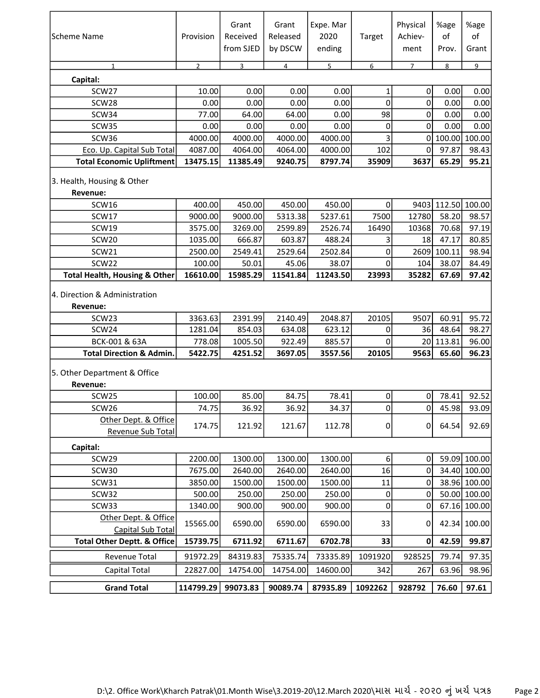| lScheme Name                                                                             | Provision                    | Grant<br>Received<br>from SJED | Grant<br>Released<br>by DSCW | Expe. Mar<br>2020<br>ending | Target               | Physical<br>Achiev-<br>ment | %age<br>of<br>Prov.         | %age<br>of<br>Grant     |
|------------------------------------------------------------------------------------------|------------------------------|--------------------------------|------------------------------|-----------------------------|----------------------|-----------------------------|-----------------------------|-------------------------|
| $\mathbf{1}$                                                                             | $\overline{2}$               | $\overline{3}$                 | $\overline{4}$               | 5                           | 6                    | $\overline{7}$              | 8                           | 9                       |
| Capital:                                                                                 |                              |                                |                              |                             |                      |                             |                             |                         |
| SCW27<br>SCW28                                                                           | 10.00                        | 0.00                           | 0.00                         | 0.00<br>0.00                | 1<br>0               | $\pmb{0}$<br>$\pmb{0}$      | 0.00                        | 0.00                    |
|                                                                                          | 0.00                         | 0.00                           | 0.00                         |                             | 98                   |                             | 0.00                        | 0.00                    |
| SCW34<br>SCW35                                                                           | 77.00<br>0.00                | 64.00<br>0.00                  | 64.00<br>0.00                | 0.00<br>0.00                | 0                    | 0<br>$\mathbf 0$            | 0.00<br>0.00                | 0.00<br>0.00            |
| SCW36                                                                                    | 4000.00                      | 4000.00                        | 4000.00                      | 4000.00                     | 3                    | $\mathbf 0$                 | 100.00 100.00               |                         |
| Eco. Up. Capital Sub Total                                                               | 4087.00                      | 4064.00                        | 4064.00                      | 4000.00                     | 102                  | $\mathbf 0$                 | 97.87                       | 98.43                   |
| <b>Total Economic Upliftment</b>                                                         | 13475.15                     | 11385.49                       | 9240.75                      | 8797.74                     | 35909                | 3637                        | 65.29                       | 95.21                   |
| 3. Health, Housing & Other<br>Revenue:                                                   |                              |                                |                              |                             |                      |                             |                             |                         |
| SCW16                                                                                    | 400.00                       | 450.00                         | 450.00                       | 450.00                      | 0                    |                             | 9403 112.50 100.00          |                         |
| SCW17                                                                                    | 9000.00                      | 9000.00                        | 5313.38                      | 5237.61                     | 7500                 | 12780                       | 58.20                       | 98.57                   |
| SCW19                                                                                    | 3575.00                      | 3269.00                        | 2599.89                      | 2526.74                     | 16490                | 10368                       | 70.68                       | 97.19                   |
| SCW20                                                                                    | 1035.00                      | 666.87                         | 603.87                       | 488.24                      | 3                    | 18                          | 47.17                       | 80.85                   |
| SCW21                                                                                    | 2500.00                      | 2549.41                        | 2529.64                      | 2502.84                     | 0                    |                             | 2609 100.11                 | 98.94                   |
| SCW22<br><b>Total Health, Housing &amp; Other</b>                                        | 100.00<br>16610.00           | 50.01<br>15985.29              | 45.06<br>11541.84            | 38.07<br>11243.50           | $\mathbf 0$<br>23993 | 104<br>35282                | 38.07<br>67.69              | 84.49<br>97.42          |
| 4. Direction & Administration<br>Revenue:<br>SCW <sub>23</sub><br>SCW24<br>BCK-001 & 63A | 3363.63<br>1281.04<br>778.08 | 2391.99<br>854.03<br>1005.50   | 2140.49<br>634.08<br>922.49  | 2048.87<br>623.12<br>885.57 | 20105<br>0<br>0      | 9507<br>36                  | 60.91<br>48.64<br>20 113.81 | 95.72<br>98.27<br>96.00 |
| <b>Total Direction &amp; Admin.</b>                                                      | 5422.75                      | 4251.52                        | 3697.05                      | 3557.56                     | 20105                | 9563                        | 65.60                       | 96.23                   |
| 5. Other Department & Office<br>Revenue:                                                 |                              |                                |                              |                             |                      |                             |                             |                         |
| SCW25                                                                                    | 100.00                       | 85.00                          | 84.75                        | 78.41                       | $\pmb{0}$            | 0                           | 78.41                       | 92.52                   |
| SCW26<br>Other Dept. & Office                                                            | 74.75                        | 36.92                          | 36.92                        | 34.37                       | 0                    | $\overline{0}$              | 45.98                       | 93.09                   |
| Revenue Sub Total                                                                        | 174.75                       | 121.92                         | 121.67                       | 112.78                      | 0                    | 0                           | 64.54                       | 92.69                   |
| Capital:                                                                                 |                              |                                |                              |                             |                      |                             |                             |                         |
| SCW29                                                                                    | 2200.00                      | 1300.00                        | 1300.00                      | 1300.00                     | 6 <sup>1</sup>       | 0                           |                             | 59.09 100.00            |
| SCW30                                                                                    | 7675.00                      | 2640.00                        | 2640.00                      | 2640.00                     | 16                   | 0                           |                             | 34.40 100.00            |
| SCW31                                                                                    | 3850.00                      | 1500.00                        | 1500.00                      | 1500.00                     | 11                   | 0                           |                             | 38.96 100.00            |
| SCW32                                                                                    | 500.00                       | 250.00                         | 250.00                       | 250.00                      | 0                    | 0                           |                             | 50.00 100.00            |
| SCW33                                                                                    | 1340.00                      | 900.00                         | 900.00                       | 900.00                      | 0                    | 0                           |                             | 67.16 100.00            |
| Other Dept. & Office                                                                     | 15565.00                     | 6590.00                        | 6590.00                      | 6590.00                     | 33                   | 0                           |                             | 42.34 100.00            |
| Capital Sub Total                                                                        |                              |                                |                              |                             |                      |                             |                             |                         |
| <b>Total Other Deptt. &amp; Office</b>                                                   | 15739.75                     | 6711.92                        | 6711.67                      | 6702.78                     | 33                   | 0                           | 42.59                       | 99.87                   |
| <b>Revenue Total</b>                                                                     | 91972.29                     | 84319.83                       | 75335.74                     | 73335.89                    | 1091920              | 928525                      | 79.74                       | 97.35                   |
| Capital Total                                                                            | 22827.00                     | 14754.00                       | 14754.00                     | 14600.00                    | 342                  | 267                         | 63.96                       | 98.96                   |
| <b>Grand Total</b>                                                                       | 114799.29                    | 99073.83                       | 90089.74                     | 87935.89                    | 1092262              | 928792                      | 76.60                       | 97.61                   |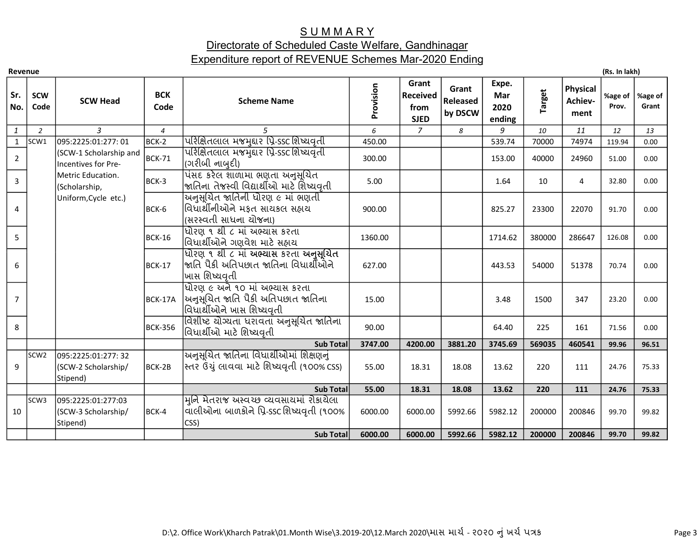# **SUMMARY**

# Directorate of Scheduled Caste Welfare, Gandhinagar Expenditure report of REVENUE Schemes Mar-2020 Ending

| Revenue        |                    |                                                        |                    |                                                                                                       |           |                                                 |                                     |                                |               |                                    | (Rs. In lakh)    |                  |
|----------------|--------------------|--------------------------------------------------------|--------------------|-------------------------------------------------------------------------------------------------------|-----------|-------------------------------------------------|-------------------------------------|--------------------------------|---------------|------------------------------------|------------------|------------------|
| Sr.<br>No.     | <b>SCW</b><br>Code | <b>SCW Head</b>                                        | <b>BCK</b><br>Code | <b>Scheme Name</b>                                                                                    | Provision | Grant<br><b>Received</b><br>from<br><b>SJED</b> | Grant<br><b>Released</b><br>by DSCW | Expe.<br>Mar<br>2020<br>ending | <b>Target</b> | <b>Physical</b><br>Achiev-<br>ment | %age of<br>Prov. | %age of<br>Grant |
| $\mathbf{1}$   | $\overline{2}$     | $\overline{3}$                                         | $\overline{4}$     | 5                                                                                                     | 6         | $\overline{7}$                                  | 8                                   | 9                              | 10            | 11                                 | 12               | 13               |
| $\mathbf{1}$   | SCW1               | 095:2225:01:277:01                                     | BCK-2              | પરિક્ષિતલાલ મજમુદ્દાર પ્રિ-ssc શિષ્યવૃતી                                                              | 450.00    |                                                 |                                     | 539.74                         | 70000         | 74974                              | 119.94           | 0.00             |
| $\overline{2}$ |                    | (SCW-1 Scholarship and<br>Incentives for Pre-          | BCK-71             | પરિક્ષિતલાલ મજમુદ્દાર પ્રિ-ssc શિષ્યવૃતી<br>(ગરીબી નાબુદી)                                            | 300.00    |                                                 |                                     | 153.00                         | 40000         | 24960                              | 51.00            | 0.00             |
| 3              |                    | Metric Education.<br>(Scholarship,                     | BCK-3              | પંસદ કરેલ શાળામા ભણતા અનુસૂચિત<br>જાતિના તેજસ્વી વિદ્યાર્થીઓ માટે શિષ્યવૃતી                           | 5.00      |                                                 |                                     | 1.64                           | 10            | $\overline{4}$                     | 32.80            | 0.00             |
| 4              |                    | Uniform, Cycle etc.)                                   | BCK-6              | અનુસૂચિત જાતિની ધોરણ ૯ માં ભણતી<br>વિધાર્થીનીઓને મફત સાયકલ સહ્યય<br>(સરસ્વતી સાધના ચોજના)             | 900.00    |                                                 |                                     | 825.27                         | 23300         | 22070                              | 91.70            | 0.00             |
| 5              |                    |                                                        | BCK-16             | <u>ધોરણ ૧ થી ૮ માં અભ્યાસ કરતા</u><br>વિધાર્થીઓને ગણવેશ માટે સહાય                                     | 1360.00   |                                                 |                                     | 1714.62                        | 380000        | 286647                             | 126.08           | 0.00             |
| 6              |                    |                                                        | BCK-17             | <u>ધોરણ ૧ થી ૮ માં અભ્યાસ કરતા અનુસૂચિત</u><br> જાતિ પૈકી અતિપછાત જાતિના વિધાર્થીઓને<br>ખાસ શિષ્યવૃતી | 627.00    |                                                 |                                     | 443.53                         | 54000         | 51378                              | 70.74            | 0.00             |
| $\overline{7}$ |                    |                                                        | BCK-17A            | ધીરણ ૯ અને ૧૦ માં અભ્યાસ કરતા<br> અનુસૂચિત જાતિ પૈકી અતિપછાત જાતિના<br>વિધાર્થીઓને ખાસ શિષ્યવૃતી      | 15.00     |                                                 |                                     | 3.48                           | 1500          | 347                                | 23.20            | 0.00             |
| 8              |                    |                                                        | <b>BCK-356</b>     | વિશીષ્ટ યોગ્યતા ધરાવતા અનુસૂચિત જાતિના<br>વિધાર્થીઓ માટે શિષ્યવતી                                     | 90.00     |                                                 |                                     | 64.40                          | 225           | 161                                | 71.56            | 0.00             |
|                |                    |                                                        |                    | <b>Sub Total</b>                                                                                      | 3747.00   | 4200.00                                         | 3881.20                             | 3745.69                        | 569035        | 460541                             | 99.96            | 96.51            |
| 9              | SCW <sub>2</sub>   | 095:2225:01:277: 32<br>(SCW-2 Scholarship/<br>Stipend) | BCK-2B             | અનુસૂચિત જાતિના વિધાર્થીઓમાં શિક્ષણનું<br> સ્તર ઉંચું લાવવા માટે શિષ્યવૃતી (૧૦૦% css)                 | 55.00     | 18.31                                           | 18.08                               | 13.62                          | 220           | 111                                | 24.76            | 75.33            |
|                |                    |                                                        |                    | <b>Sub Total</b>                                                                                      | 55.00     | 18.31                                           | 18.08                               | 13.62                          | 220           | 111                                | 24.76            | 75.33            |
| 10             | SCW <sub>3</sub>   | 095:2225:01:277:03<br>(SCW-3 Scholarship/<br>Stipend)  | BCK-4              | મુનિ મેતરાજ અસ્વચ્છ વ્યવસાયમાં રોકાયેલા<br>વાલીઓના બાળકોને પ્રિ-ssc શિષ્યવૃતી (૧૦૦%<br>CSS)           | 6000.00   | 6000.00                                         | 5992.66                             | 5982.12                        | 200000        | 200846                             | 99.70            | 99.82            |
|                |                    |                                                        |                    | <b>Sub Total</b>                                                                                      | 6000.00   | 6000.00                                         | 5992.66                             | 5982.12                        | 200000        | 200846                             | 99.70            | 99.82            |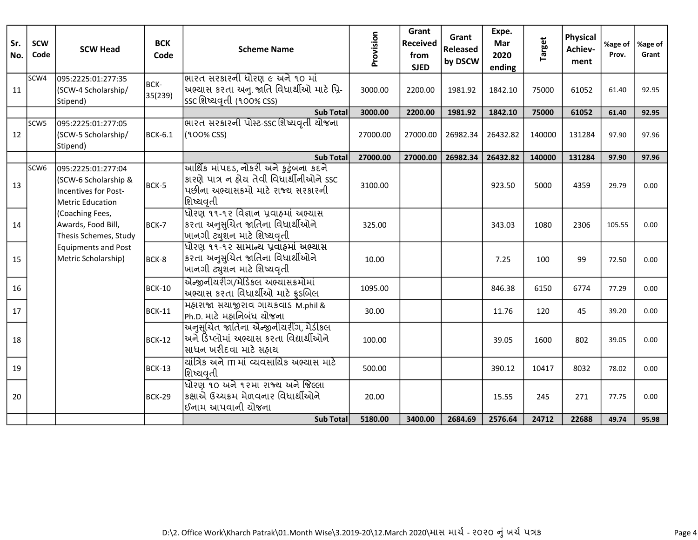| Sr.<br>No. | <b>SCW</b><br>Code | <b>SCW Head</b>                                                                                      | <b>BCK</b><br>Code | <b>Scheme Name</b>                                                                                                                     | Provision | Grant<br><b>Received</b><br>from<br><b>SJED</b> | Grant<br>Released<br>by DSCW | Expe.<br>Mar<br>2020<br>ending | <b>Target</b> | <b>Physical</b><br>Achiev-<br>ment | %age of<br>Prov. | %age of<br>Grant |
|------------|--------------------|------------------------------------------------------------------------------------------------------|--------------------|----------------------------------------------------------------------------------------------------------------------------------------|-----------|-------------------------------------------------|------------------------------|--------------------------------|---------------|------------------------------------|------------------|------------------|
| 11         | SCW4               | 095:2225:01:277:35<br>(SCW-4 Scholarship/<br>Stipend)                                                | BCK-<br>35(239)    | ભારત સરકારની ધોરણ ૯ અને ૧૦ માં<br>અભ્યાસ કરતા અનુ. જાતિ વિધાર્થીઓ માટે પ્રિ-<br>ssc શિષ્યવૃતી (૧૦૦% css)                               | 3000.00   | 2200.00                                         | 1981.92                      | 1842.10                        | 75000         | 61052                              | 61.40            | 92.95            |
|            |                    |                                                                                                      |                    | <b>Sub Total</b>                                                                                                                       | 3000.00   | 2200.00                                         | 1981.92                      | 1842.10                        | 75000         | 61052                              | 61.40            | 92.95            |
| 12         | SCW <sub>5</sub>   | 095:2225:01:277:05<br>(SCW-5 Scholarship/<br>Stipend)                                                | <b>BCK-6.1</b>     | <u>ભારત સરકારની પોસ્ટ-sscશિષ્યવૃતી યોજના</u><br>(100% CSS)                                                                             | 27000.00  | 27000.00                                        | 26982.34                     | 26432.82                       | 140000        | 131284                             | 97.90            | 97.96            |
|            |                    |                                                                                                      |                    | <b>Sub Total</b>                                                                                                                       | 27000.00  | 27000.00                                        | 26982.34                     | 26432.82                       | 140000        | 131284                             | 97.90            | 97.96            |
| 13         | SCW <sub>6</sub>   | 095:2225:01:277:04<br>(SCW-6 Scholarship &<br><b>Incentives for Post-</b><br><b>Metric Education</b> | BCK-5              | આર્થિક માંપદડ, નોકરી અને કુટુંબના કદને<br>કારણે પાત્ર ન હોય તેવી વિધાર્થીનીઓને ssc<br>પછીના અભ્યાસક્રમો માટે રાજ્ય સરકારની<br>શિષ્યવતી | 3100.00   |                                                 |                              | 923.50                         | 5000          | 4359                               | 29.79            | 0.00             |
| 14         |                    | (Coaching Fees,<br>Awards, Food Bill,<br>Thesis Schemes, Study                                       | BCK-7              | ધોરણ ૧૧-૧૨ વિજ્ઞાન પ્રવાહમાં અભ્યાસ<br>કરતા અનુસુચિત જાતિના વિધાર્થીઓને<br> ખાનગી ટ્યુશન માટે શિષ્યવૃતી                                | 325.00    |                                                 |                              | 343.03                         | 1080          | 2306                               | 105.55           | 0.00             |
| 15         |                    | <b>Equipments and Post</b><br>Metric Scholarship)                                                    | BCK-8              | ધોરણ ૧૧-૧૨ સામાન્ય પ્રવાહમાં અભ્યાસ<br>કરતા અનુસુચિત જાતિના વિધાર્થીઓને<br> ખાનગી ટ્યુશન માટે શિષ્યવૃતી                                | 10.00     |                                                 |                              | 7.25                           | 100           | 99                                 | 72.50            | 0.00             |
| 16         |                    |                                                                                                      | <b>BCK-10</b>      | એન્જીનીયરીગ/મેડિકલ અભ્યાસક્રમોમાં<br>અભ્યાસ કરતા વિધાર્થીઓ માટે ફ્રડબિલ                                                                | 1095.00   |                                                 |                              | 846.38                         | 6150          | 6774                               | 77.29            | 0.00             |
| 17         |                    |                                                                                                      | <b>BCK-11</b>      | મહારાજા સચાજીરાવ ગાચકવાડ M.phil &<br>Ph.D. માટે મહાનિબંધ ચોજના                                                                         | 30.00     |                                                 |                              | 11.76                          | 120           | 45                                 | 39.20            | 0.00             |
| 18         |                    |                                                                                                      | BCK-12             | અનુસૂચિત જાતિના એન્જીનીયરીંગ, મેડીકલ<br> અને ડિંપ્લોમાં અભ્યાસ કરતા વિદ્યાર્થીઓને<br>સાધન ખરીદવા માટે સહ્રાય                           | 100.00    |                                                 |                              | 39.05                          | 1600          | 802                                | 39.05            | 0.00             |
| 19         |                    |                                                                                                      | $BCK-13$           | <u> ચાંત્રિક અને ।Ti માં વ્યવસાયિક અભ્યાસ માટે</u><br>શિષ્યવતી                                                                         | 500.00    |                                                 |                              | 390.12                         | 10417         | 8032                               | 78.02            | 0.00             |
| 20         |                    |                                                                                                      | BCK-29             | ધોરણ ૧૦ અને ૧૨મા રાજ્ય અને જિલ્લા<br><sup>I</sup> કક્ષાએ ઉચ્ચક્રમ મેળવનાર વિધાર્થીઓને<br> ઈનામ આપવાની યોજના                            | 20.00     |                                                 |                              | 15.55                          | 245           | 271                                | 77.75            | 0.00             |
|            |                    |                                                                                                      |                    | <b>Sub Total</b>                                                                                                                       | 5180.00   | 3400.00                                         | 2684.69                      | 2576.64                        | 24712         | 22688                              | 49.74            | 95.98            |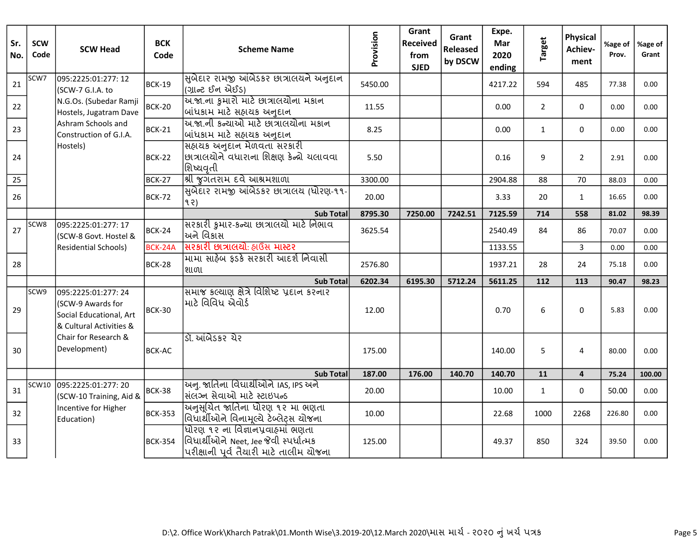| Sr.<br>No. | <b>SCW</b><br>Code | <b>SCW Head</b>                                                                                | <b>BCK</b><br>Code | <b>Scheme Name</b>                                                                                                      | Provision | Grant<br><b>Received</b><br>from<br><b>SJED</b> | Grant<br>Released<br>by DSCW | Expe.<br>Mar<br>2020<br>ending | <b>Target</b>  | <b>Physical</b><br>Achiev-<br>ment | %age of<br>Prov. | %age of<br>Grant |
|------------|--------------------|------------------------------------------------------------------------------------------------|--------------------|-------------------------------------------------------------------------------------------------------------------------|-----------|-------------------------------------------------|------------------------------|--------------------------------|----------------|------------------------------------|------------------|------------------|
| 21         | SCW7               | 095:2225:01:277: 12<br>(SCW-7 G.I.A. to                                                        | <b>BCK-19</b>      | સિબેદાર રામજી આંબેડકર છાત્રાલયને અનુદાન<br> (ગ્રાન્ટ ઈન એઈડ)                                                            | 5450.00   |                                                 |                              | 4217.22                        | 594            | 485                                | 77.38            | 0.00             |
| 22         |                    | N.G.Os. (Subedar Ramji<br>Hostels, Jugatram Dave                                               | <b>BCK-20</b>      | ચિ.જા.ના કુમારો માટે છાત્રાલયોના મકાન<br> બાંધકામ માટે સહાચક અનુદાન                                                     | 11.55     |                                                 |                              | 0.00                           | $\overline{2}$ | $\Omega$                           | 0.00             | 0.00             |
| 23         |                    | Ashram Schools and<br>Construction of G.I.A.                                                   | <b>BCK-21</b>      | અ.જા.ની કન્યાઓ માટે છાત્રાલયોના મકાન<br> બાંધકામ માટે સહ્રાયક અનુદાન                                                    | 8.25      |                                                 |                              | 0.00                           | $\mathbf{1}$   | $\Omega$                           | 0.00             | 0.00             |
| 24         |                    | Hostels)                                                                                       | <b>BCK-22</b>      | <u> સિહ્નાયક અનુદાન મેળવતા સરકારી</u><br> છાત્રાલચોને વધારાના શિક્ષણ કેન્દ્રો ચલાવવા<br>શિષ્યવતી                        | 5.50      |                                                 |                              | 0.16                           | 9              | $\overline{2}$                     | 2.91             | 0.00             |
| 25         |                    |                                                                                                | BCK-27             | શ્રી જુગતરામ દવે આશ્રમશાળા                                                                                              | 3300.00   |                                                 |                              | 2904.88                        | 88             | 70                                 | 88.03            | 0.00             |
| 26         |                    |                                                                                                | <b>BCK-72</b>      | <u>સિબેદાર રામજી આંબેડકર છાત્રાલય (ધોરણ-૧૧-</u><br> १२)                                                                 | 20.00     |                                                 |                              | 3.33                           | 20             | $\mathbf{1}$                       | 16.65            | 0.00             |
|            |                    |                                                                                                |                    | <b>Sub Total</b>                                                                                                        | 8795.30   | 7250.00                                         | 7242.51                      | 7125.59                        | 714            | 558                                | 81.02            | 98.39            |
| 27         | SCW8               | 095:2225:01:277: 17<br>(SCW-8 Govt. Hostel &                                                   | BCK-24             | સિરકારી કુમાર-કન્યા છાત્રાલયો માટે નિભાવ<br> અને વિકાસ                                                                  | 3625.54   |                                                 |                              | 2540.49                        | 84             | 86                                 | 70.07            | 0.00             |
|            |                    | <b>Residential Schools)</b>                                                                    | BCK-24A            | <u> સિરકારી છાત્રાલયો: હ્રાઉસ માસ્ટર</u>                                                                                |           |                                                 |                              | 1133.55                        |                | $\mathbf{3}$                       | 0.00             | 0.00             |
| 28         |                    |                                                                                                | <b>BCK-28</b>      | માિમા સાહેબ ફડકે સરકારી આદર્શ નિવાસી<br> શાળા                                                                           | 2576.80   |                                                 |                              | 1937.21                        | 28             | 24                                 | 75.18            | 0.00             |
|            |                    |                                                                                                |                    | <b>Sub Total</b>                                                                                                        | 6202.34   | 6195.30                                         | 5712.24                      | 5611.25                        | 112            | 113                                | 90.47            | 98.23            |
| 29         | SCW9               | 095:2225:01:277: 24<br>(SCW-9 Awards for<br>Social Educational, Art<br>& Cultural Activities & | <b>BCK-30</b>      | समाश्र इल्याएा क्षेत्रे विशिष्ट प्रहान इरनार<br>માટે વિવિધ એવોર્ડ                                                       | 12.00     |                                                 |                              | 0.70                           | 6              | 0                                  | 5.83             | 0.00             |
| 30         |                    | Chair for Research &<br>Development)                                                           | <b>BCK-AC</b>      | ડૉ. આંબેડકર ચેર                                                                                                         | 175.00    |                                                 |                              | 140.00                         | 5              | 4                                  | 80.00            | 0.00             |
|            |                    |                                                                                                |                    | <b>Sub Totall</b>                                                                                                       | 187.00    | 176.00                                          | 140.70                       | 140.70                         | 11             | $\overline{\mathbf{4}}$            | 75.24            | 100.00           |
| 31         | SCW10              | 095:2225:01:277: 20<br>(SCW-10 Training, Aid &                                                 | <b>BCK-38</b>      | ચિન. જાતિના વિધાર્થીઓને IAS, IPS અને<br> સંલંગ્ન સેવાઓ માટે સ્ટાઇપન્ડ                                                   | 20.00     |                                                 |                              | 10.00                          | $\mathbf{1}$   | 0                                  | 50.00            | 0.00             |
| 32         |                    | Incentive for Higher<br>Education)                                                             | <b>BCK-353</b>     | <u> અિુસૂચિત જાતિના ધોરણ ૧૨ મા ભણતા</u><br>વિધાર્થીઓને વિનામૂલ્યે ટેબ્લેટ્સ યોજના                                       | 10.00     |                                                 |                              | 22.68                          | 1000           | 2268                               | 226.80           | 0.00             |
| 33         |                    |                                                                                                | <b>BCK-354</b>     | ધોિરણ ૧૨ ના વિજ્ઞાનપ્રવાહમાં ભણતા<br>વિધાર્થીઓને Neet, Jee જેવી સ્પર્ધાત્મક<br> પરીક્ષાની પૂર્વ તૈયારી માટે તાલીમ ચોજના | 125.00    |                                                 |                              | 49.37                          | 850            | 324                                | 39.50            | 0.00             |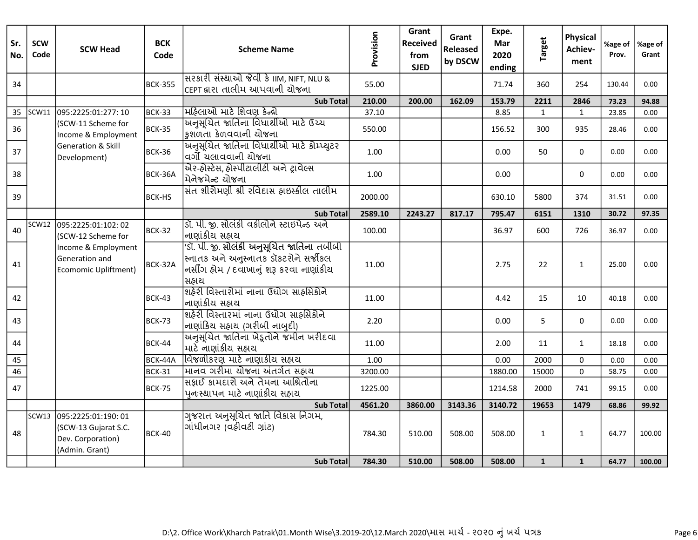| Sr.<br>No. | <b>SCW</b><br>Code | <b>SCW Head</b>                                                                    | <b>BCK</b><br>Code | <b>Scheme Name</b>                                                                                                                                 | Provision | Grant<br><b>Received</b><br>from<br><b>SJED</b> | Grant<br><b>Released</b><br>by DSCW | Expe.<br>Mar<br>2020<br>ending | <b>Target</b> | <b>Physical</b><br>Achiev-<br>ment | %age of<br>Prov. | %age of<br>Grant |
|------------|--------------------|------------------------------------------------------------------------------------|--------------------|----------------------------------------------------------------------------------------------------------------------------------------------------|-----------|-------------------------------------------------|-------------------------------------|--------------------------------|---------------|------------------------------------|------------------|------------------|
| 34         |                    |                                                                                    | <b>BCK-355</b>     | સિરકારી સંસ્થાઓ જેવી કે IIM, NIFT, NLU &<br> сєрт દ્વારા તાલીમ આપવાની ચોજના                                                                        | 55.00     |                                                 |                                     | 71.74                          | 360           | 254                                | 130.44           | 0.00             |
|            |                    |                                                                                    |                    | <b>Sub Total</b>                                                                                                                                   | 210.00    | 200.00                                          | 162.09                              | 153.79                         | 2211          | 2846                               | 73.23            | 94.88            |
| 35         | SCW11              | 095:2225:01:277: 10                                                                | <b>BCK-33</b>      | મિઠિલાઓ માટે શિવણ કેન્દ્રો                                                                                                                         | 37.10     |                                                 |                                     | 8.85                           | $\mathbf{1}$  | $\mathbf{1}$                       | 23.85            | 0.00             |
| 36         |                    | (SCW-11 Scheme for<br>Income & Employment                                          | <b>BCK-35</b>      | <u> અનુસુચિત જાતિના વિધાર્થીઓ માટે ઉચ્ચ</u><br> કુશળતા કેળવવાની ચોજના                                                                              | 550.00    |                                                 |                                     | 156.52                         | 300           | 935                                | 28.46            | 0.00             |
| 37         |                    | <b>Generation &amp; Skill</b><br>Development)                                      | BCK-36             | .<br>અનુસુચિત જાતિના વિધાર્થીઓ માટે કોમ્પ્યુટર<br>વર્ગો યલાવવાની યોજના                                                                             | 1.00      |                                                 |                                     | 0.00                           | 50            | 0                                  | 0.00             | 0.00             |
| 38         |                    |                                                                                    | BCK-36A            | મિનેજમેન્ટ યોજના                                                                                                                                   | 1.00      |                                                 |                                     | 0.00                           |               | 0                                  | 0.00             | 0.00             |
| 39         |                    |                                                                                    | <b>BCK-HS</b>      | સંત શીરોમણી શ્રી રવિદાસ હ્રાઇસ્ક્રીલ તાલીમ                                                                                                         | 2000.00   |                                                 |                                     | 630.10                         | 5800          | 374                                | 31.51            | 0.00             |
|            |                    |                                                                                    |                    | <b>Sub Total</b>                                                                                                                                   | 2589.10   | 2243.27                                         | 817.17                              | 795.47                         | 6151          | 1310                               | 30.72            | 97.35            |
| 40         | SCW12              | 095:2225:01:102:02<br>(SCW-12 Scheme for                                           | BCK-32             | ડૉ. પી. જી. સોલંકી વકીલોને સ્ટાઇપેન્ડ અને<br> નાણાંકીય સહ્યય                                                                                       | 100.00    |                                                 |                                     | 36.97                          | 600           | 726                                | 36.97            | 0.00             |
| 41         |                    | Income & Employment<br>Generation and<br><b>Ecomomic Upliftment)</b>               | BCK-32A            | <u>'sૉ. પી. જી. સોલંકી અનુસૂચિત જાતિના તબીબી</u><br> સ્નાતક અને અનુસ્નાતક ડૉકટરોને સર્જીકલ<br> નર્સીંગ હોમ / દવાખાનું શરૂ કરવા નાણાંકીય<br> સહ્રાચ | 11.00     |                                                 |                                     | 2.75                           | 22            | $\mathbf{1}$                       | 25.00            | 0.00             |
| 42         |                    |                                                                                    | <b>BCK-43</b>      | શિહેરી વિસ્તારોમાં નાના ઉદ્યોગ સાહસિકોને<br> નાણાંકીય સહ્યય                                                                                        | 11.00     |                                                 |                                     | 4.42                           | 15            | 10                                 | 40.18            | 0.00             |
| 43         |                    |                                                                                    | <b>BCK-73</b>      | શહેરી વિસ્તારમાં નાના ઉઘોગ સાહસિકોને<br> નાણાંકિય સહ્યય (ગરીબી નાબુદી)                                                                             | 2.20      |                                                 |                                     | 0.00                           | 5             | 0                                  | 0.00             | 0.00             |
| 44         |                    |                                                                                    | <b>BCK-44</b>      | અનુસૂચિત જાતિના ખેડૂતોને જમીન ખરીદવા<br> માટે નાણાંકીય સહ્રાય                                                                                      | 11.00     |                                                 |                                     | 2.00                           | 11            | $\mathbf{1}$                       | 18.18            | 0.00             |
| $45\,$     |                    |                                                                                    | BCK-44A            | વિજળીકરણ માટે નાણાકીય સહ્યય                                                                                                                        | 1.00      |                                                 |                                     | 0.00                           | 2000          | 0                                  | 0.00             | 0.00             |
| 46         |                    |                                                                                    | <b>BCK-31</b>      | માિનવ ગરીમા ચોજના અંતર્ગત સહ્યચ                                                                                                                    | 3200.00   |                                                 |                                     | 1880.00                        | 15000         | 0                                  | 58.75            | 0.00             |
| 47         |                    |                                                                                    | <b>BCK-75</b>      | સિકાઈ કામદારો અને તેમના આશ્રિતોના<br>પુનઃસ્થાપન માટે નાણાંકીય સહ્યય                                                                                | 1225.00   |                                                 |                                     | 1214.58                        | 2000          | 741                                | 99.15            | 0.00             |
|            |                    |                                                                                    |                    | <b>Sub Total</b>                                                                                                                                   | 4561.20   | 3860.00                                         | 3143.36                             | 3140.72                        | 19653         | 1479                               | 68.86            | 99.92            |
| 48         | SCW13              | 095:2225:01:190: 01<br>(SCW-13 Gujarat S.C.<br>Dev. Corporation)<br>(Admin. Grant) | <b>BCK-40</b>      | ગુજરાત અનુસૂચિત જાતિ વિકાસ નિગમ,<br>ગાંધીનગર (વહીવટી ગ્રાંટ)                                                                                       | 784.30    | 510.00                                          | 508.00                              | 508.00                         | $\mathbf{1}$  | $\mathbf{1}$                       | 64.77            | 100.00           |
|            |                    |                                                                                    |                    | <b>Sub Total</b>                                                                                                                                   | 784.30    | 510.00                                          | 508.00                              | 508.00                         | $\mathbf{1}$  | $\mathbf{1}$                       | 64.77            | 100.00           |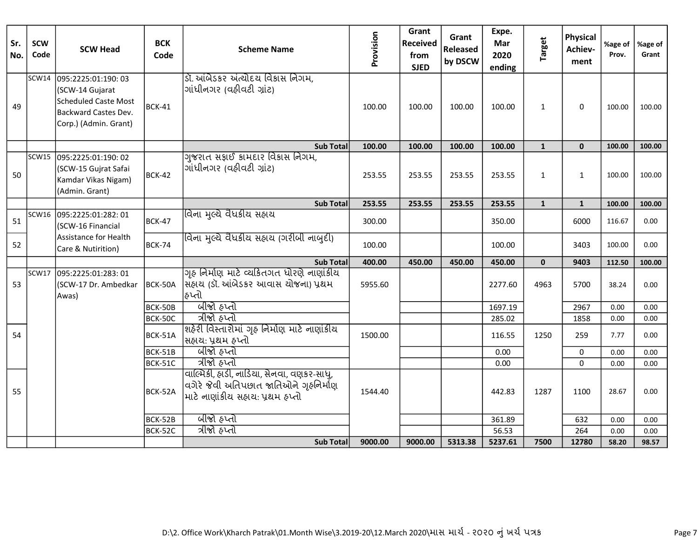| Sr.<br>No. | <b>SCW</b><br>Code | <b>SCW Head</b>                                                                                                 | <b>BCK</b><br>Code | <b>Scheme Name</b>                                                                                                                   | Provision | Grant<br><b>Received</b><br>from<br><b>SJED</b> | Grant<br><b>Released</b><br>by DSCW | Expe.<br>Mar<br>2020<br>ending | <b>Target</b> | <b>Physical</b><br>Achiev-<br>ment | %age of<br>Prov. | %age of<br>Grant |
|------------|--------------------|-----------------------------------------------------------------------------------------------------------------|--------------------|--------------------------------------------------------------------------------------------------------------------------------------|-----------|-------------------------------------------------|-------------------------------------|--------------------------------|---------------|------------------------------------|------------------|------------------|
| 49         | SCW14              | 095:2225:01:190: 03<br>(SCW-14 Gujarat<br>Scheduled Caste Most<br>Backward Castes Dev.<br>Corp.) (Admin. Grant) | BCK-41             | ડૉ. આંબેડકર અંત્યોદય વિકાસ નિગમ,<br>ગાંધીનગર (વહીવટી ગ્રાંટ)                                                                         | 100.00    | 100.00                                          | 100.00                              | 100.00                         | $\mathbf{1}$  | $\Omega$                           | 100.00           | 100.00           |
|            |                    |                                                                                                                 |                    | <b>Sub Total</b>                                                                                                                     | 100.00    | 100.00                                          | 100.00                              | 100.00                         | $\mathbf{1}$  | $\mathbf{0}$                       | 100.00           | 100.00           |
| 50         |                    | SCW15 095:2225:01:190: 02<br>(SCW-15 Gujrat Safai<br>Kamdar Vikas Nigam)<br>(Admin. Grant)                      | BCK-42             | ગુજરાત સફાઈ કામદાર વિકાસ નિગમ,<br>ગાંધીનગર (વહીવટી ગ્રાંટ)                                                                           | 253.55    | 253.55                                          | 253.55                              | 253.55                         | $\mathbf{1}$  | $\mathbf{1}$                       | 100.00           | 100.00           |
|            |                    |                                                                                                                 |                    | <b>Sub Total</b>                                                                                                                     | 253.55    | 253.55                                          | 253.55                              | 253.55                         | $\mathbf{1}$  | $\mathbf{1}$                       | 100.00           | 100.00           |
| 51         |                    | SCW16 095:2225:01:282: 01<br>(SCW-16 Financial                                                                  | BCK-47             | વિના મલ્ચે વૈધકીય સહ્યય                                                                                                              | 300.00    |                                                 |                                     | 350.00                         |               | 6000                               | 116.67           | 0.00             |
| 52         |                    | Assistance for Health<br>Care & Nutirition)                                                                     | BCK-74             | વિના મુલ્યે વૈધકીય સહ્રાય (ગરીબી નાબુદી)                                                                                             | 100.00    |                                                 |                                     | 100.00                         |               | 3403                               | 100.00           | 0.00             |
|            |                    |                                                                                                                 |                    | <b>Sub Totall</b>                                                                                                                    | 400.00    | 450.00                                          | 450.00                              | 450.00                         | $\mathbf{0}$  | 9403                               | 112.50           | 100.00           |
| 53         | SCW17              | 095:2225:01:283:01<br>(SCW-17 Dr. Ambedkar<br>Awas)                                                             | BCK-50A            | ગૃહ નિર્માણ માટે વ્યકિતગત ધોરણે નાણાંકીય<br> સહ્રાય (ડૉ. આંબેડકર આવાસ ચોજના) પ્રથમ<br> ઠપ્તો                                         | 5955.60   |                                                 |                                     | 2277.60                        | 4963          | 5700                               | 38.24            | 0.00             |
|            |                    |                                                                                                                 | BCK-50B            | બીજો હપ્તો                                                                                                                           |           |                                                 |                                     | 1697.19                        |               | 2967                               | 0.00             | 0.00             |
|            |                    |                                                                                                                 | BCK-50C            | ત્રીજો હપ્તો                                                                                                                         |           |                                                 |                                     | 285.02                         |               | 1858                               | 0.00             | 0.00             |
| 54         |                    |                                                                                                                 | BCK-51A            | શહેરી વિસ્તારોમાં ગૃહ નિર્માણ માટે નાણાંકીય<br>સહ્યટા: પ્રથમ હપ્તો                                                                   | 1500.00   |                                                 |                                     | 116.55                         | 1250          | 259                                | 7.77             | 0.00             |
|            |                    |                                                                                                                 | BCK-51B            | બીજો હપ્તો                                                                                                                           |           |                                                 |                                     | 0.00                           |               | $\Omega$                           | 0.00             | 0.00             |
|            |                    |                                                                                                                 | BCK-51C            | ત્રીજો હપ્તો                                                                                                                         |           |                                                 |                                     | 0.00                           |               | $\mathbf 0$                        | 0.00             | 0.00             |
| 55         |                    |                                                                                                                 | BCK-52A            | વાલ્મિકી, હાડી, નાડિયા, સેનવા, વણકર-સાધુ,<br>વગેરે જેવી અતિપછાત જાતિઓને ગૃહનિર્માણ<br>માટે નાણાંકીય સહાય: પ્રથમ હ <mark>પ્</mark> તો | 1544.40   |                                                 |                                     | 442.83                         | 1287          | 1100                               | 28.67            | 0.00             |
|            |                    |                                                                                                                 | BCK-52B            | जीन्ने हप्तो                                                                                                                         |           |                                                 |                                     | 361.89                         |               | 632                                | 0.00             | 0.00             |
|            |                    |                                                                                                                 | BCK-52C            | ત્રીજો હપ્તો                                                                                                                         |           |                                                 |                                     | 56.53                          |               | 264                                | 0.00             | 0.00             |
|            |                    |                                                                                                                 |                    | <b>Sub Total</b>                                                                                                                     | 9000.00   | 9000.00                                         | 5313.38                             | 5237.61                        | 7500          | 12780                              | 58.20            | 98.57            |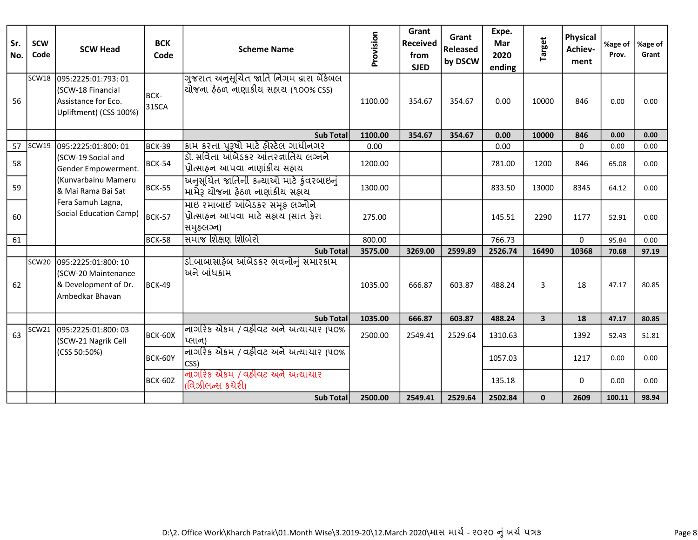| Sr.<br>No. | <b>SCW</b><br>Code | <b>SCW Head</b>                                                                          | <b>BCK</b><br>Code | <b>Scheme Name</b>                                                                  | Provision | Grant<br>Received<br>from<br><b>SJED</b> | Grant<br>Released<br>by DSCW | Expe.<br>Mar<br>2020<br>ending | <b>Target</b>           | <b>Physical</b><br>Achiev-<br>ment | %age of<br>Prov. | %age of<br>Grant |
|------------|--------------------|------------------------------------------------------------------------------------------|--------------------|-------------------------------------------------------------------------------------|-----------|------------------------------------------|------------------------------|--------------------------------|-------------------------|------------------------------------|------------------|------------------|
| 56         | SCW18              | 095:2225:01:793:01<br>(SCW-18 Financial<br>Assistance for Eco.<br>Upliftment) (CSS 100%) | BCK-<br>31SCA      | ગુજરાત અનુસૂચિત જાતિ નિગમ દ્વારા બેંકેબલ<br>ચોજના ઠેઠળ નાણાકીચ સહાચ (૧૦૦% CSS)      | 1100.00   | 354.67                                   | 354.67                       | 0.00                           | 10000                   | 846                                | 0.00             | 0.00             |
|            |                    |                                                                                          |                    | Sub Total                                                                           | 1100.00   | 354.67                                   | 354.67                       | 0.00                           | 10000                   | 846                                | 0.00             | 0.00             |
| 57         | SCW19              | 095:2225:01:800:01                                                                       | <b>BCK-39</b>      | કામ કરતા પુરૂષો માટે હોસ્ટેલ ગાધીનગર                                                | 0.00      |                                          |                              | 0.00                           |                         | 0                                  | 0.00             | 0.00             |
| 58         |                    | (SCW-19 Social and<br>Gender Empowerment.                                                | BCK-54             | ડૉ. સવિતા આંબેડકર આંતરજ્ઞાતિય લગ્નને<br>પ્રોત્સાહન આપવા નાણાંકીય સહાય               | 1200.00   |                                          |                              | 781.00                         | 1200                    | 846                                | 65.08            | 0.00             |
| 59         |                    | (Kunvarbainu Mameru<br>& Mai Rama Bai Sat                                                | BCK-55             | અનુસૂચિત જાતિની કન્યાઓ માટે કુંવરબાઇનું<br>મામેરૂ યોજના ઠેઠળ નાણાંકીય સહાય          | 1300.00   |                                          |                              | 833.50                         | 13000                   | 8345                               | 64.12            | 0.00             |
| 60         |                    | Fera Samuh Lagna,<br>Social Education Camp)                                              | BCK-57             | માઇ રમાબાઈ આંબેડકર સમૃહ લગ્નોને<br>પ્રોત્સાહન આપવા માટે સહાય (સાત ફેરા<br>સમુહલગ્ન) | 275.00    |                                          |                              | 145.51                         | 2290                    | 1177                               | 52.91            | 0.00             |
| 61         |                    |                                                                                          | BCK-58             | समाજ शिक्षણ शिબिरो                                                                  | 800.00    |                                          |                              | 766.73                         |                         | $\Omega$                           | 95.84            | 0.00             |
|            |                    |                                                                                          |                    | Sub Total                                                                           | 3575.00   | 3269.00                                  | 2599.89                      | 2526.74                        | 16490                   | 10368                              | 70.68            | 97.19            |
| 62         | SCW <sub>20</sub>  | 095:2225:01:800: 10<br>(SCW-20 Maintenance<br>& Development of Dr.<br>Ambedkar Bhavan    | BCK-49             | ર્ડા.બાબાસાહેબ આંબેડકર ભવનોનું સમારકામ<br>અને બાંધકામ                               | 1035.00   | 666.87                                   | 603.87                       | 488.24                         | 3                       | 18                                 | 47.17            | 80.85            |
|            |                    |                                                                                          |                    | Sub Total                                                                           | 1035.00   | 666.87                                   | 603.87                       | 488.24                         | $\overline{\mathbf{3}}$ | 18                                 | 47.17            | 80.85            |
| 63         | <b>SCW21</b>       | 095:2225:01:800: 03<br>(SCW-21 Nagrik Cell                                               | BCK-60X            | नागरिङ सेङम / वहीवट सने सत्यायार (५०%<br>પ્લાન)                                     | 2500.00   | 2549.41                                  | 2529.64                      | 1310.63                        |                         | 1392                               | 52.43            | 51.81            |
|            |                    | (CSS 50:50%)                                                                             | BCK-60Y            | નાગરિક એકમ / વઠીવટ અને અત્યાચાર (૫૦%<br>CSS)                                        |           |                                          |                              | 1057.03                        |                         | 1217                               | 0.00             | 0.00             |
|            |                    |                                                                                          | BCK-60Z            | નાગરિક એકમ / વઠીવટ અને અત્યાચાર<br>(વિઝીલન્સ કચેરી)                                 |           |                                          |                              | 135.18                         |                         | 0                                  | 0.00             | 0.00             |
|            |                    |                                                                                          |                    | Sub Total                                                                           | 2500.00   | 2549.41                                  | 2529.64                      | 2502.84                        | $\mathbf{0}$            | 2609                               | 100.11           | 98.94            |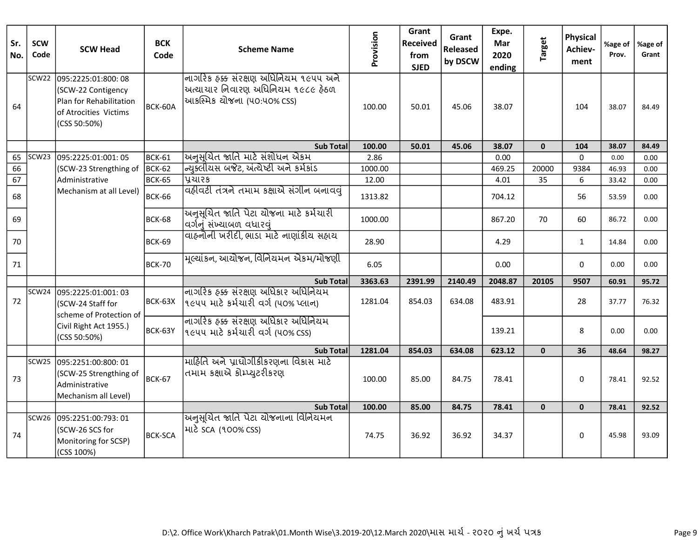| Sr.<br>No. | <b>SCW</b><br>Code | <b>SCW Head</b>                                                                                              | <b>BCK</b><br>Code | <b>Scheme Name</b>                                                                                         | Provision | Grant<br><b>Received</b><br>from<br><b>SJED</b> | Grant<br><b>Released</b><br>by DSCW | Expe.<br>Mar<br>2020<br>ending | <b>Target</b> | <b>Physical</b><br>Achiev-<br>ment | %age of<br>Prov. | %age of<br>Grant |
|------------|--------------------|--------------------------------------------------------------------------------------------------------------|--------------------|------------------------------------------------------------------------------------------------------------|-----------|-------------------------------------------------|-------------------------------------|--------------------------------|---------------|------------------------------------|------------------|------------------|
| 64         | SCW22              | 095:2225:01:800:08<br>(SCW-22 Contigency<br>Plan for Rehabilitation<br>of Atrocities Victims<br>(CSS 50:50%) | BCK-60A            | નાિગરિક હક્ક સંરક્ષણ અધિનિયમ ૧૯૫૫ અને<br> અત્યાચાર નિવારણ અધિનિયમ ૧૯૮૯ ફેઠળ<br> આકસ્મિક ચોજના (૫૦:૫૦% css) | 100.00    | 50.01                                           | 45.06                               | 38.07                          |               | 104                                | 38.07            | 84.49            |
|            |                    |                                                                                                              |                    | <b>Sub Totall</b>                                                                                          | 100.00    | 50.01                                           | 45.06                               | 38.07                          | $\mathbf{0}$  | 104                                | 38.07            | 84.49            |
| 65         |                    | SCW23 095:2225:01:001: 05                                                                                    | <b>BCK-61</b>      | ચિનુસૂચિત જાતિ માટે સંશોધન એકમ                                                                             | 2.86      |                                                 |                                     | 0.00                           |               | $\Omega$                           | 0.00             | 0.00             |
| 66         |                    | (SCW-23 Strengthing of                                                                                       | <b>BCK-62</b>      | ન્યિક્લીયસ બજેટ, અંત્યેષ્ટી અને કર્મકાંડ                                                                   | 1000.00   |                                                 |                                     | 469.25                         | 20000         | 9384                               | 46.93            | 0.00             |
| 67         |                    | Administrative                                                                                               | <b>BCK-65</b>      | પ્રચારક                                                                                                    | 12.00     |                                                 |                                     | 4.01                           | 35            | 6                                  | 33.42            | 0.00             |
| 68         |                    | Mechanism at all Level)                                                                                      | <b>BCK-66</b>      | વહીવટી તંત્રને તમામ કક્ષાએ સંગીન બનાવવં                                                                    | 1313.82   |                                                 |                                     | 704.12                         |               | 56                                 | 53.59            | 0.00             |
| 69         |                    |                                                                                                              | <b>BCK-68</b>      | ચિનુસૂચિત જાતિ પેટા ચોજના માટે કર્મચારી<br>વિર્ગનું સંખ્યાબળ વધારવું                                       | 1000.00   |                                                 |                                     | 867.20                         | 70            | 60                                 | 86.72            | 0.00             |
| 70         |                    |                                                                                                              | BCK-69             | વાહનોની ખરીદી,ભાડા માટે નાણાંકીય સહ્યય                                                                     | 28.90     |                                                 |                                     | 4.29                           |               | $\mathbf{1}$                       | 14.84            | 0.00             |
| 71         |                    |                                                                                                              | BCK-70             | મૂલ્યાંકન, આયોજન, વિનિયમન એકમ/મોજણી                                                                        | 6.05      |                                                 |                                     | 0.00                           |               | 0                                  | 0.00             | 0.00             |
|            |                    |                                                                                                              |                    | <b>Sub Total</b>                                                                                           | 3363.63   | 2391.99                                         | 2140.49                             | 2048.87                        | 20105         | 9507                               | 60.91            | 95.72            |
| 72         | SCW24              | 095:2225:01:001:03<br>(SCW-24 Staff for                                                                      | BCK-63X            | નાગરિક હક્ક સંરક્ષણ અધિકાર અધિનિયમ<br> ૧૯૫૫ માટે કર્મચારી વર્ગ (૫૦% પ્લાન)                                 | 1281.04   | 854.03                                          | 634.08                              | 483.91                         |               | 28                                 | 37.77            | 76.32            |
|            |                    | scheme of Protection of<br>Civil Right Act 1955.)<br>(CSS 50:50%)                                            | BCK-63Y            | નાગરિક ઠક્ક સંરક્ષણ અધિકાર અધિનિયમ<br> ૧૯૫૫ માટે કર્મચારી વર્ગ (૫૦% css)                                   |           |                                                 |                                     | 139.21                         |               | 8                                  | 0.00             | 0.00             |
|            |                    |                                                                                                              |                    | <b>Sub Total</b>                                                                                           | 1281.04   | 854.03                                          | 634.08                              | 623.12                         | $\mathbf{0}$  | 36                                 | 48.64            | 98.27            |
| 73         |                    | SCW25 095:2251:00:800: 01<br>(SCW-25 Strengthing of<br>Administrative<br>Mechanism all Level)                | <b>BCK-67</b>      | માહિતિ અને પ્રાઘોગીકીકરણના વિકાસ માટે<br> તમામ કક્ષાએ ક્રોમ્પ્યુટરીકરણ                                     | 100.00    | 85.00                                           | 84.75                               | 78.41                          |               | 0                                  | 78.41            | 92.52            |
|            |                    |                                                                                                              |                    | <b>Sub Total</b>                                                                                           | 100.00    | 85.00                                           | 84.75                               | 78.41                          | $\mathbf{0}$  | $\mathbf{0}$                       | 78.41            | 92.52            |
| 74         |                    | SCW26 095:2251:00:793: 01<br>(SCW-26 SCS for<br>Monitoring for SCSP)<br>(CSS 100%)                           | <b>BCK-SCA</b>     | यिनुसूयित જાતિ પેટા યોજનાના વિનિયમન<br> માટે SCA (૧૦૦% CSS)                                                | 74.75     | 36.92                                           | 36.92                               | 34.37                          |               | 0                                  | 45.98            | 93.09            |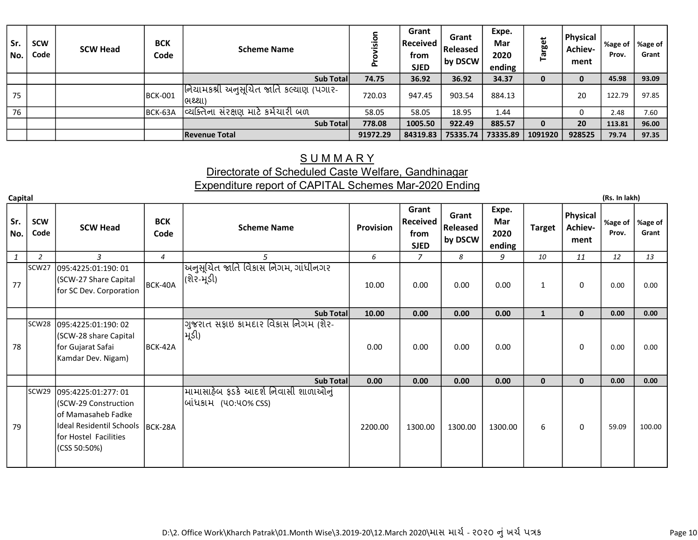| Sr.<br>l No. | <b>SCW</b><br>Code | <b>SCW Head</b> | <b>BCK</b><br>Code | <b>Scheme Name</b>                                | sio<br>௳ | Grant<br> Received  <br>from<br><b>SJED</b> | Grant<br>l Released<br>by DSCW | Expe.<br><b>Mar</b><br>2020<br>ending | <b>Target</b> | <b>Physical</b><br>Achiev-<br>ment | %age of<br>Prov. | ∣%age of<br>Grant |
|--------------|--------------------|-----------------|--------------------|---------------------------------------------------|----------|---------------------------------------------|--------------------------------|---------------------------------------|---------------|------------------------------------|------------------|-------------------|
|              |                    |                 |                    | Sub Total                                         | 74.75    | 36.92                                       | 36.92                          | 34.37                                 | 0             |                                    | 45.98            | 93.09             |
| 75           |                    |                 | BCK-001            | નિયામકશ્રી અનુસૂચિત જાતિ કલ્યાણ (પગાર-<br> ભથ્થા) | 720.03   | 947.45                                      | 903.54                         | 884.13                                |               | 20                                 | 122.79           | 97.85             |
| 76           |                    |                 | BCK-63A            | વ્યિક્તિના સંરક્ષણ માટે કર્મચારી બળ               | 58.05    | 58.05                                       | 18.95                          | 1.44                                  |               |                                    | 2.48             | 7.60              |
|              |                    |                 |                    | Sub Total                                         | 778.08   | 1005.50                                     | 922.49                         | 885.57                                | 0             | 20                                 | 113.81           | 96.00             |
|              |                    |                 |                    | Revenue Total                                     | 91972.29 | 84319.83                                    | 75335.74                       | 73335.89                              | 1091920       | 928525                             | 79.74            | 97.35             |

#### **SUMMARY** Directorate of Scheduled Caste Welfare, Gandhinagar Expenditure report of CAPITAL Schemes Mar-2020 Ending

Capital (Rs. In lakh)

Sr. No. SCW SCW Head BCK<br>Code SCW Head Code Scheme Name Provision Grant Received from SJED Grant Released by DSCW Expe. Mar 2020 ending Target Physical Achievment %age of Prov.  $1 \mid 2 \mid 3 \mid 4 \mid 5 \mid 6 \mid 7 \mid 8 \mid 9 \mid 10 \mid 11$ 2 4 6 8 10 12 13 77 SCW27 095:4225:01:190: 01 (SCW-27 Share Capital for SC Dev. Corporation  $\left| \text{BCK-40A} \right|$ <u>અનુસૂચિત જાતિ વિકાસ નિગમ, ગાંધીનગર</u> |(શેર-મૂંડી) 10.00 0.00 0.00 0.00 1 0 0.00 0.00 Sub Total <mark>10.00 0.00 0.00 0.00 1 0 0.00 0.00</mark> 0.00 78 SCW28 095:4225:01:190: 02 (SCW-28 share Capital for Gujarat Safai Kamdar Dev. Nigam) BCK-42A ગુજરાત સફાઇ કામદાર વિકાસ નિગમ (શેર-મૂડી) 0.00 0.00 0.00 0.00 0.00 0.00 0.00 Sub Total 0.00 0.00 0.00 0.00 0.00 0.00 0.00 0.00 79 SCW29 095:4225:01:277: 01 (SCW-29 Construction of Mamasaheb Fadke Ideal Residentil Schools BCK-28A for Hostel Facilities (CSS 50:50%) <u>મામાસાહેબ ફડકે આદર્શ નિવાસી શાળાઓનું</u> બાંધકામ (૫૦:૫૦% CSS) 2200.00 | 1300.00 | 1300.00 | 1300.00 | 6 | 0 | 59.09 | 100.00

D:\2. Office Work\Kharch Patrak\01.Month Wise\3.2019-20\12.March 2020\માસ માર્ચ - ૨૦૨૦ નું ખર્ચ પત્રક

%age of Grant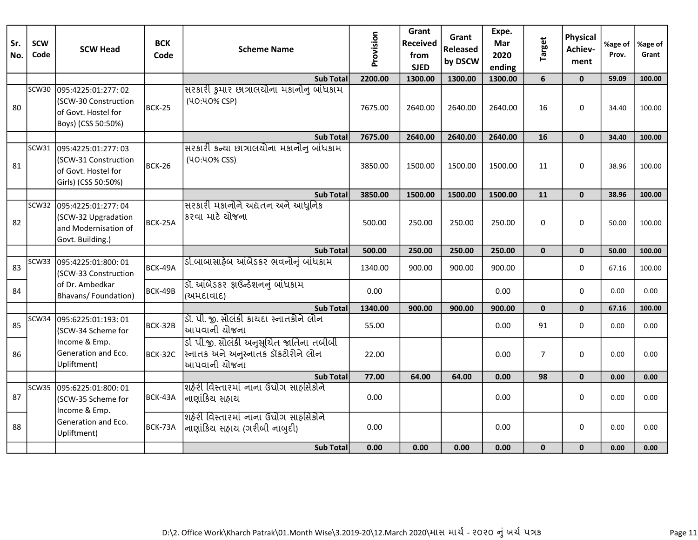| Sr.<br>No. | <b>SCW</b><br>Code | <b>SCW Head</b>                                                                                 | <b>BCK</b><br>Code | <b>Scheme Name</b>                                                                              | Provision | Grant<br>Received<br>from<br><b>SJED</b> | Grant<br>Released<br>by DSCW | Expe.<br>Mar<br>2020<br>ending | <b>Target</b>  | <b>Physical</b><br>Achiev-<br>ment | %age of<br>Prov. | %age of<br>Grant |
|------------|--------------------|-------------------------------------------------------------------------------------------------|--------------------|-------------------------------------------------------------------------------------------------|-----------|------------------------------------------|------------------------------|--------------------------------|----------------|------------------------------------|------------------|------------------|
|            |                    |                                                                                                 |                    | <b>Sub Total</b>                                                                                | 2200.00   | 1300.00                                  | 1300.00                      | 1300.00                        | $6\phantom{1}$ | $\mathbf{0}$                       | 59.09            | 100.00           |
| 80         | SCW30              | 095:4225:01:277:02<br>(SCW-30 Construction<br>of Govt. Hostel for<br>Boys) (CSS 50:50%)         | <b>BCK-25</b>      | સરકારી કુમાર છાત્રાલયોના મકાનોનુ બાંધકામ<br>(40:40% CSP)                                        | 7675.00   | 2640.00                                  | 2640.00                      | 2640.00                        | 16             | $\Omega$                           | 34.40            | 100.00           |
|            |                    |                                                                                                 |                    | <b>Sub Total</b>                                                                                | 7675.00   | 2640.00                                  | 2640.00                      | 2640.00                        | 16             | $\mathbf{0}$                       | 34.40            | 100.00           |
| 81         |                    | SCW31 095:4225:01:277: 03<br>(SCW-31 Construction<br>of Govt. Hostel for<br>Girls) (CSS 50:50%) | <b>BCK-26</b>      | સરકારી કન્યા છાત્રાલયોના મકાનોનુ બાંધકામ<br>(40:40% CSS)                                        | 3850.00   | 1500.00                                  | 1500.00                      | 1500.00                        | 11             | 0                                  | 38.96            | 100.00           |
|            |                    |                                                                                                 |                    | <b>Sub Total</b>                                                                                | 3850.00   | 1500.00                                  | 1500.00                      | 1500.00                        | 11             | $\mathbf{0}$                       | 38.96            | 100.00           |
| 82         |                    | SCW32 095:4225:01:277: 04<br>(SCW-32 Upgradation<br>and Modernisation of<br>Govt. Building.)    | BCK-25A            | सरधरी मधनोने अद्यतन अने आधुनिष्ठ<br>lકરવા માટે ચોજના                                            | 500.00    | 250.00                                   | 250.00                       | 250.00                         | $\Omega$       | 0                                  | 50.00            | 100.00           |
|            |                    |                                                                                                 |                    | <b>Sub Total</b>                                                                                | 500.00    | 250.00                                   | 250.00                       | 250.00                         | $\mathbf{0}$   | $\mathbf{0}$                       | 50.00            | 100.00           |
| 83         | SCW33              | 095:4225:01:800: 01<br>(SCW-33 Construction                                                     | BCK-49A            | ડી.બાબાસાહેબ આંબેડકર ભવનોનું બાંધકામ                                                            | 1340.00   | 900.00                                   | 900.00                       | 900.00                         |                | 0                                  | 67.16            | 100.00           |
| 84         |                    | of Dr. Ambedkar<br>Bhavans/Foundation)                                                          | BCK-49B            | ડૉ. આંબેડકર ફાઉન્ડેશનનું બાંધકામ<br>(અમદાવાદ)                                                   | 0.00      |                                          |                              | 0.00                           |                | 0                                  | 0.00             | 0.00             |
|            |                    |                                                                                                 |                    | <b>Sub Total</b>                                                                                | 1340.00   | 900.00                                   | 900.00                       | 900.00                         | $\mathbf 0$    | $\mathbf{0}$                       | 67.16            | 100.00           |
| 85         | SCW34              | 095:6225:01:193:01<br>(SCW-34 Scheme for                                                        | BCK-32B            | ડૉ. પી. જી. સોલંકી કાચદા સ્નાતકોને લોન<br>શ્ચાપવાની ચોજના                                       | 55.00     |                                          |                              | 0.00                           | 91             | $\Omega$                           | 0.00             | 0.00             |
| 86         |                    | Income & Emp.<br>Generation and Eco.<br>Upliftment)                                             | BCK-32C            | ર્ડા પી.જી. સોલંકી અનુસૂચિત જાતિના તબીબી<br> સ્નાતક અને અનુસ્નાતક ડૉકટોરોને લોન<br>આપવાની યોજના | 22.00     |                                          |                              | 0.00                           | $\overline{7}$ | 0                                  | 0.00             | 0.00             |
|            |                    |                                                                                                 |                    | <b>Sub Total</b>                                                                                | 77.00     | 64.00                                    | 64.00                        | 0.00                           | 98             | $\mathbf{0}$                       | 0.00             | 0.00             |
| 87         | SCW35              | 095:6225:01:800: 01<br>(SCW-35 Scheme for<br>Income & Emp.                                      | BCK-43A            | શહેરી વિસ્તારમાં નાના ઉદ્યોગ સાહસિકોને<br>નાણાંકિય સહ્યય                                        | 0.00      |                                          |                              | 0.00                           |                | 0                                  | 0.00             | 0.00             |
| 88         |                    | Generation and Eco.<br>Upliftment)                                                              | BCK-73A            | શહેરી વિસ્તારમાં નાના ઉદ્યોગ સાહસિકોને<br> નાણાંકિય સહ્રાય (ગરીબી નાબુદી)                       | 0.00      |                                          |                              | 0.00                           |                | 0                                  | 0.00             | 0.00             |
|            |                    |                                                                                                 |                    | <b>Sub Total</b>                                                                                | 0.00      | 0.00                                     | 0.00                         | 0.00                           | $\mathbf{0}$   | $\mathbf{0}$                       | 0.00             | 0.00             |